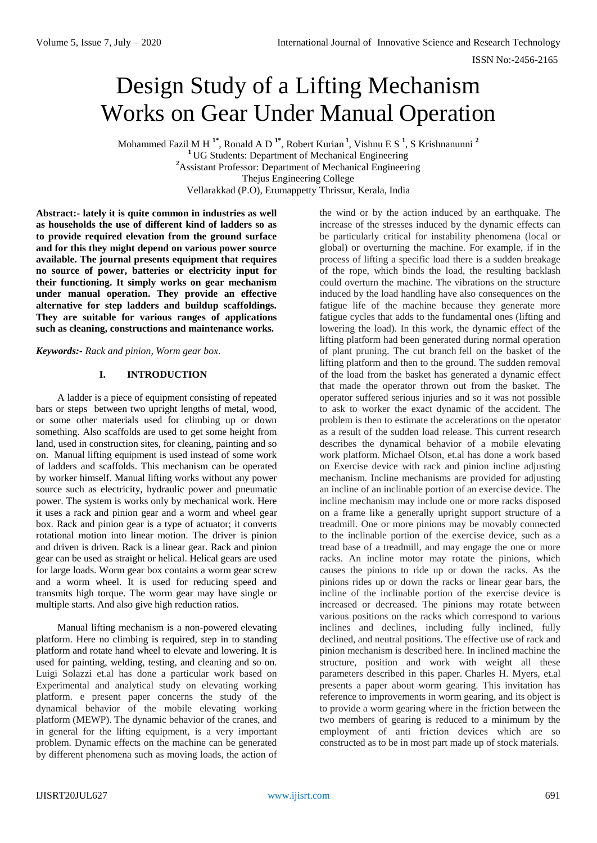# Design Study of a Lifting Mechanism Works on Gear Under Manual Operation

Mohammed Fazil M H **1\*** , Ronald A D **1\*** , Robert Kurian **<sup>1</sup>** , Vishnu E S **<sup>1</sup>** , S Krishnanunni **<sup>2</sup>** <sup>1</sup> UG Students: Department of Mechanical Engineering **<sup>2</sup>**Assistant Professor: Department of Mechanical Engineering Thejus Engineering College Vellarakkad (P.O), Erumappetty Thrissur, Kerala, India

**Abstract:- lately it is quite common in industries as well as households the use of different kind of ladders so as to provide required elevation from the ground surface and for this they might depend on various power source available. The journal presents equipment that requires no source of power, batteries or electricity input for their functioning. It simply works on gear mechanism under manual operation. They provide an effective alternative for step ladders and buildup scaffoldings. They are suitable for various ranges of applications such as cleaning, constructions and maintenance works.** 

*Keywords:- Rack and pinion, Worm gear box.*

# **I. INTRODUCTION**

A ladder is a piece of equipment consisting of repeated bars or steps between two upright lengths of metal, wood, or some other materials used for climbing up or down something. Also scaffolds are used to get some height from land, used in construction sites, for cleaning, painting and so on. Manual lifting equipment is used instead of some work of ladders and scaffolds. This mechanism can be operated by worker himself. Manual lifting works without any power source such as electricity, hydraulic power and pneumatic power. The system is works only by mechanical work. Here it uses a rack and pinion gear and a worm and wheel gear box. Rack and pinion gear is a type of actuator; it converts rotational motion into linear motion. The driver is pinion and driven is driven. Rack is a linear gear. Rack and pinion gear can be used as straight or helical. Helical gears are used for large loads. Worm gear box contains a worm gear screw and a worm wheel. It is used for reducing speed and transmits high torque. The worm gear may have single or multiple starts. And also give high reduction ratios.

Manual lifting mechanism is a non-powered elevating platform. Here no climbing is required, step in to standing platform and rotate hand wheel to elevate and lowering. It is used for painting, welding, testing, and cleaning and so on. Luigi Solazzi et.al has done a particular work based on Experimental and analytical study on elevating working platform. e present paper concerns the study of the dynamical behavior of the mobile elevating working platform (MEWP). The dynamic behavior of the cranes, and in general for the lifting equipment, is a very important problem. Dynamic effects on the machine can be generated by different phenomena such as moving loads, the action of

the wind or by the action induced by an earthquake. The increase of the stresses induced by the dynamic effects can be particularly critical for instability phenomena (local or global) or overturning the machine. For example, if in the process of lifting a specific load there is a sudden breakage of the rope, which binds the load, the resulting backlash could overturn the machine. The vibrations on the structure induced by the load handling have also consequences on the fatigue life of the machine because they generate more fatigue cycles that adds to the fundamental ones (lifting and lowering the load). In this work, the dynamic effect of the lifting platform had been generated during normal operation of plant pruning. The cut branch fell on the basket of the lifting platform and then to the ground. The sudden removal of the load from the basket has generated a dynamic effect that made the operator thrown out from the basket. The operator suffered serious injuries and so it was not possible to ask to worker the exact dynamic of the accident. The problem is then to estimate the accelerations on the operator as a result of the sudden load release. This current research describes the dynamical behavior of a mobile elevating work platform. Michael Olson, et.al has done a work based on Exercise device with rack and pinion incline adjusting mechanism. Incline mechanisms are provided for adjusting an incline of an inclinable portion of an exercise device. The incline mechanism may include one or more racks disposed on a frame like a generally upright support structure of a treadmill. One or more pinions may be movably connected to the inclinable portion of the exercise device, such as a tread base of a treadmill, and may engage the one or more racks. An incline motor may rotate the pinions, which causes the pinions to ride up or down the racks. As the pinions rides up or down the racks or linear gear bars, the incline of the inclinable portion of the exercise device is increased or decreased. The pinions may rotate between various positions on the racks which correspond to various inclines and declines, including fully inclined, fully declined, and neutral positions. The effective use of rack and pinion mechanism is described here. In inclined machine the structure, position and work with weight all these parameters described in this paper. Charles H. Myers, et.al presents a paper about worm gearing. This invitation has reference to improvements in worm gearing, and its object is to provide a worm gearing where in the friction between the two members of gearing is reduced to a minimum by the employment of anti friction devices which are so constructed as to be in most part made up of stock materials.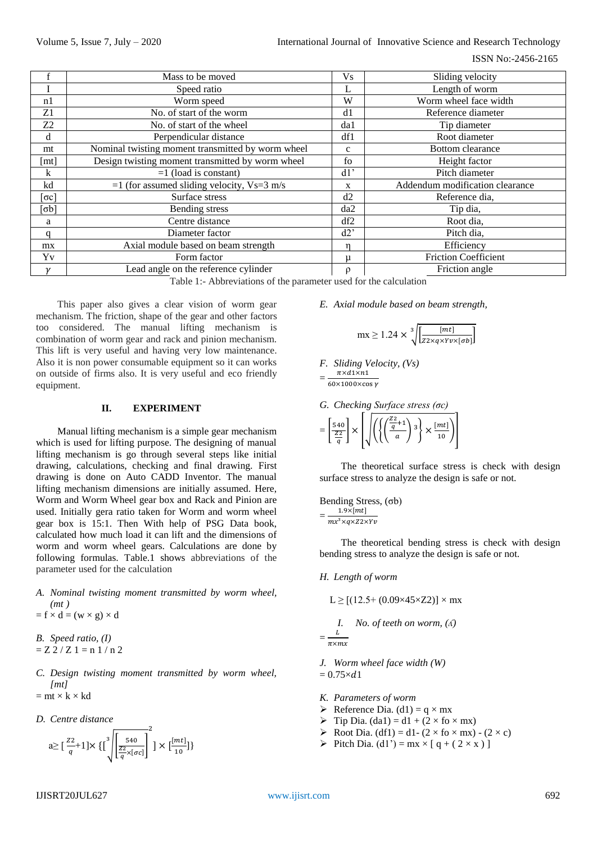|                | Mass to be moved                                  | V <sub>S</sub>       | Sliding velocity                       |
|----------------|---------------------------------------------------|----------------------|----------------------------------------|
|                | Speed ratio                                       | L                    | Length of worm                         |
| n1             | Worm speed                                        | W                    | Worm wheel face width                  |
| Z1             | No. of start of the worm                          | d1                   | Reference diameter                     |
| Z <sub>2</sub> | No. of start of the wheel                         | da1                  | Tip diameter                           |
| d              | Perpendicular distance                            | df1                  | Root diameter                          |
| mt             | Nominal twisting moment transmitted by worm wheel | $\mathbf{C}$         | <b>Bottom</b> clearance                |
| [mt]           | Design twisting moment transmitted by worm wheel  | fo                   | Height factor                          |
| k              | $=1$ (load is constant)                           | d1'                  | Pitch diameter                         |
| kd             | $=1$ (for assumed sliding velocity, Vs=3 m/s      | X                    | Addendum modification clearance        |
| $\sigma c$ ]   | Surface stress                                    | d2                   | Reference dia,                         |
| $\sigma b$ ]   | Bending stress                                    | da2                  | Tip dia,                               |
| a              | Centre distance                                   | df2                  | Root dia,                              |
| q              | Diameter factor                                   | d2'                  | Pitch dia,                             |
| mx             | Axial module based on beam strength               | n                    | Efficiency                             |
| Yv             | Form factor                                       | μ                    | <b>Friction Coefficient</b>            |
| $\mathcal{U}$  | Lead angle on the reference cylinder              | $\sim$ $\sim$ $\sim$ | Friction angle<br>$\sim$ $\sim$ $\sim$ |

Table 1:- Abbreviations of the parameter used for the calculation

This paper also gives a clear vision of worm gear mechanism. The friction, shape of the gear and other factors too considered. The manual lifting mechanism is combination of worm gear and rack and pinion mechanism. This lift is very useful and having very low maintenance. Also it is non power consumable equipment so it can works on outside of firms also. It is very useful and eco friendly equipment.

#### **II. EXPERIMENT**

Manual lifting mechanism is a simple gear mechanism which is used for lifting purpose. The designing of manual lifting mechanism is go through several steps like initial drawing, calculations, checking and final drawing. First drawing is done on Auto CADD Inventor. The manual lifting mechanism dimensions are initially assumed. Here, Worm and Worm Wheel gear box and Rack and Pinion are used. Initially gera ratio taken for Worm and worm wheel gear box is 15:1. Then With help of PSG Data book, calculated how much load it can lift and the dimensions of worm and worm wheel gears. Calculations are done by following formulas. Table.1 shows abbreviations of the parameter used for the calculation

*A. Nominal twisting moment transmitted by worm wheel, (mt )*

$$
= f \times d = (w \times g) \times d
$$

*B. Speed ratio, (I)*  $= Z 2 / Z 1 = n 1 / n 2$ 

- *C. Design twisting moment transmitted by worm wheel, [mt]*   $=$  mt  $\times$  k  $\times$  kd
- *D. Centre distance*

$$
a \ge \left[\frac{z_2}{q} + 1\right] \times \left\{\left[\frac{z_4}{z_2} \frac{z_4}{z_5} \right]^2\right\} \times \left[\frac{[mt]}{10}\right] \}
$$

*E. Axial module based on beam strength,*

$$
mx \ge 1.24 \times \sqrt[3]{\frac{[mt]}{Z2 \times q \times Yv \times [\sigma b]}}
$$

*F. Sliding Velocity, (Vs)*  $=$  $\frac{1}{6}$  $\pi \times d1 \times n1$ 

G. Checking Surface stress 
$$
(\sigma c)
$$

$$
= \left[\frac{540}{\frac{Z2}{q}}\right] \times \left[\sqrt{\left(\left(\frac{\left(\frac{Z2}{q}+1}{a}\right)3\right) \times \frac{[mt]}{10}\right)}\right]
$$

The theoretical surface stress is check with design surface stress to analyze the design is safe or not.

Bending Stress, (σb)  $=\frac{1}{m}$  $1.9\times [mt]$ 

The theoretical bending stress is check with design bending stress to analyze the design is safe or not.

## *H. Length of worm*

=

$$
L \ge [(12.5 + (0.09 \times 45 \times Z2)] \times mx
$$
  
*I.* No. of teeth on worm, (A)  

$$
= \frac{L}{\pi xmx}
$$

*J. Worm wheel face width (W)*  $= 0.75 \times d1$ 

- *K. Parameters of worm*
- $\triangleright$  Reference Dia. (d1) = q × mx
- $\triangleright$  Tip Dia. (da1) = d1 + (2 × fo × mx)
- Root Dia. (df1) = d1 (2 × fo × mx) (2 × c)
- Pitch Dia. (d1') = mx × [ q + ( 2 × x ) ]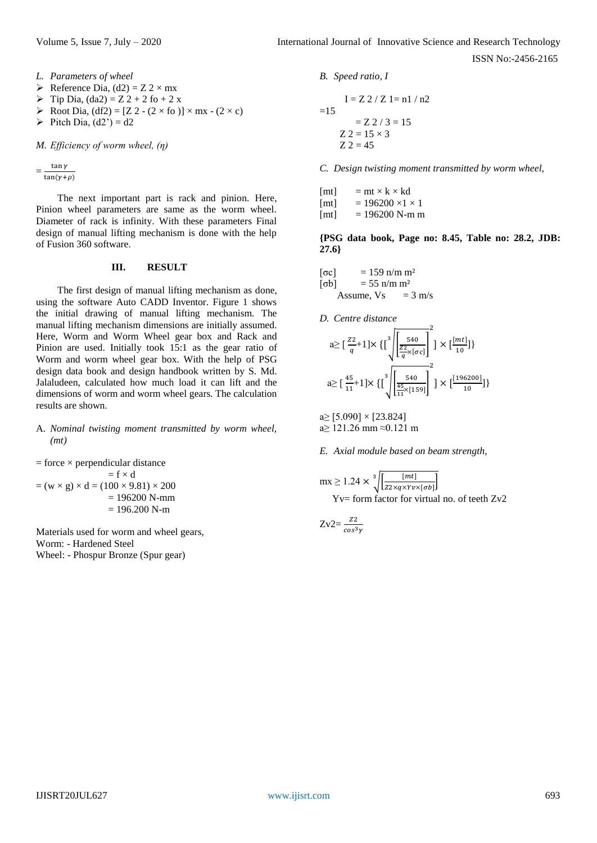ISSN No:-2456-2165

*L. Parameters of wheel* 

- $\triangleright$  Reference Dia, (d2) = Z 2 × mx
- $\triangleright$  Tip Dia, (da2) = Z 2 + 2 fo + 2 x
- $\triangleright$  Root Dia, (df2) = [Z 2 (2 × fo )] × mx (2 × c)
- $\triangleright$  Pitch Dia, (d2') = d2

*M. Efficiency of worm wheel, (η)*

 $=\frac{1}{t}$  $\tan y$ 

The next important part is rack and pinion. Here, Pinion wheel parameters are same as the worm wheel. Diameter of rack is infinity. With these parameters Final design of manual lifting mechanism is done with the help of Fusion 360 software.

# **III. RESULT**

The first design of manual lifting mechanism as done, using the software Auto CADD Inventor. Figure 1 shows the initial drawing of manual lifting mechanism. The manual lifting mechanism dimensions are initially assumed. Here, Worm and Worm Wheel gear box and Rack and Pinion are used. Initially took 15:1 as the gear ratio of Worm and worm wheel gear box. With the help of PSG design data book and design handbook written by S. Md. Jalaludeen, calculated how much load it can lift and the dimensions of worm and worm wheel gears. The calculation results are shown.

# A. *Nominal twisting moment transmitted by worm wheel, (mt)*

 $=$  force  $\times$  perpendicular distance  $= f \times d$  $=(w \times g) \times d = (100 \times 9.81) \times 200$  $= 196200$  N-mm  $= 196.200$  N-m

Materials used for worm and wheel gears, Worm: - Hardened Steel Wheel: - Phospur Bronze (Spur gear)

# *B. Speed ratio, I*

$$
I = Z \, 2 / Z \, 1 = n1 / n2
$$
  
= Z \, 2 / 3 = 15  

$$
Z \, 2 = 15 \times 3
$$
  

$$
Z \, 2 = 45
$$

*C. Design twisting moment transmitted by worm wheel,*

| [mt]          | $=$ mt $\times$ k $\times$ kd |
|---------------|-------------------------------|
| [mt]          | $= 196200 \times 1 \times 1$  |
| $L_{\rm max}$ | $= 106200 \text{ N}$ m m      |

 $[mt] = 196200$  N-m m

**{PSG data book, Page no: 8.45, Table no: 28.2, JDB: 27.6}**

$$
\begin{array}{ll}\n[\text{oc}] & = 159 \text{ n/m m}^2 \\
[\text{c}b] & = 55 \text{ n/m m}^2 \\
& \text{Assume, Vs} & = 3 \text{ m/s}\n\end{array}
$$

*D. Centre distance* 

$$
a \ge \left[\frac{z_2}{q} + 1\right] \times \left\{\left[\frac{z_2}{z_2}\right] \left[\frac{z_1}{z_2}\right] \right\} \times \left[\frac{m t}{10}\right] \}
$$
\n
$$
a \ge \left[\frac{45}{11} + 1\right] \times \left\{\left[\frac{z_2}{z_2}\right] \left[\frac{z_3}{z_1} \times \left[\frac{z_2}{z_2}\right] \right] \right\} \times \left[\frac{[196200]}{10}\right] \}
$$

 $a \ge [5.090] \times [23.824]$ a≥ 121.26 mm ≈0.121 m

*E. Axial module based on beam strength,*

$$
mx \ge 1.24 \times \sqrt[3]{\frac{[mt]}{Z2 \times q \times Yv \times [\sigma b]}}
$$
  
Yv= form factor for virtual no. of teeth Zv2

$$
Zv2 = \frac{z_2}{\cos^3\gamma}
$$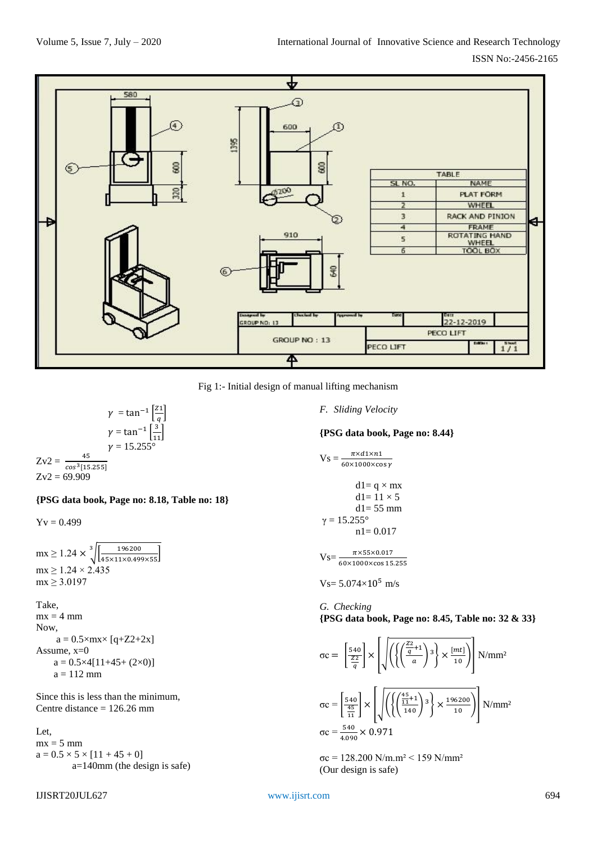

Fig 1:- Initial design of manual lifting mechanism

 $\gamma = \tan^{-1}\left[\frac{z}{2}\right]$  $\frac{1}{q}$  $\gamma = \tan^{-1}\left[\frac{3}{11}\right]$  $v = 15.255$ 45  $Zv2 = \frac{43}{\cos^3[15.255]}$  $Zv2 = 69.909$ 

**{PSG data book, Page no: 8.18, Table no: 18}**

 $Yv = 0.499$ 

 $mx \ge 1.24 \times \sqrt[3]{\left[\frac{196200}{45 \times 11 \times 0.499 \times 55}\right]}$  $mx \ge 1.24 \times 2.435$  $mx \ge 3.0197$ 

Take,

 $mx = 4 mm$ Now,  $a = 0.5 \times mx \times [q + Z2 + 2x]$ Assume, x=0  $a = 0.5 \times 4[11 + 45 + (2 \times 0)]$  $a = 112$  mm

Since this is less than the minimum, Centre distance = 126.26 mm

Let,  $mx = 5$  mm  $a = 0.5 \times 5 \times [11 + 45 + 0]$ a=140mm (the design is safe) *F. Sliding Velocity*

**{PSG data book, Page no: 8.44}**

$$
Vs = \frac{\pi \times d1 \times n1}{60 \times 1000 \times \cos \gamma}
$$

$$
dl = q \times mx
$$

$$
dl = 11 \times 5
$$

$$
dl = 55 mm
$$

$$
\gamma = 15.255^{\circ}
$$

$$
n1 = 0.017
$$

$$
V_S = \frac{\pi \times 55 \times 0.017}{60 \times 1000 \times \cos 15.255}
$$

 $Vs= 5.074\times10^{5}$  m/s

*G. Checking* **{PSG data book, Page no: 8.45, Table no: 32 & 33}**

$$
\sigma c = \left[\frac{540}{\frac{Z2}{q}}\right] \times \left[\sqrt{\left(\left\{\left(\frac{\frac{Z2}{q}+1}{a}\right)^3\right\} \times \frac{[mt]}{10}\right)}\right] \text{ N/mm²}
$$

$$
\sigma c = \left[\frac{540}{\frac{45}{11}}\right] \times \left[\sqrt{\left(\left\{\left(\frac{\frac{45}{11}+1}{140}\right)^3\right\} \times \frac{196200}{10}\right)}\right] \text{ N/mm²}
$$

$$
\sigma c = \frac{540}{4.090} \times 0.971
$$

σc = 128.200 N/m.m² ˂ 159 N/mm² (Our design is safe)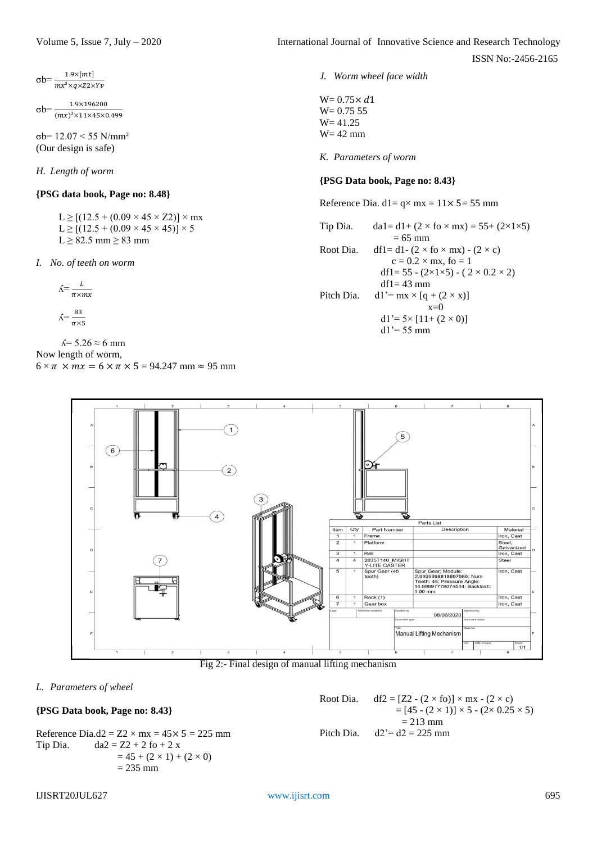$\sigma b = \frac{1.9 \times [mt]}{mx^3 \times q \times Z2}$ 

1.9×196200 σb=  $(mx)^3 \times 11 \times 45 \times 0.499$ 

σb= 12.07 ˂ 55 N/mm² (Our design is safe)

*H. Length of worm* 

# **{PSG data book, Page no: 8.48}**

 $L \ge [(12.5 + (0.09 \times 45 \times Z2)] \times mx]$  $L \ge [(12.5 + (0.09 \times 45 \times 45))] \times 5$  $L \geq 82.5$  mm  $\geq 83$  mm

*I. No. of teeth on worm*

$$
\textbf{A} = \frac{L}{\pi \times m x}
$$

$$
\textit{A} = \frac{83}{\pi \times 5}
$$

 $\text{Å}$ = 5.26 ≈ 6 mm

Now length of worm,

 $6 \times \pi \times mx = 6 \times \pi \times 5 = 94.247$  mm  $\approx 95$  mm

ISSN No:-2456-2165

*J. Worm wheel face width*

 $W = 0.75 \times d1$  $W = 0.75$  55 W= 41.25 W= 42 mm

*K. Parameters of worm*

# **{PSG Data book, Page no: 8.43}**

Reference Dia. d1=  $q \times mx = 11 \times 5 = 55$  mm

Tip Dia. da1= d1+  $(2 \times$  fo  $\times$  mx) = 55+  $(2\times1\times5)$  $= 65$  mm Root Dia. df1= d1 -  $(2 \times$  fo  $\times$  mx) -  $(2 \times c)$  $c = 0.2 \times mx$ , fo = 1 df1= 55 -  $(2\times1\times5)$  -  $(2\times0.2\times2)$  $df1 = 43$  mm Pitch Dia.  $dl' = mx \times [q + (2 \times x)]$  $x=0$  $d1' = 5 \times [11 + (2 \times 0)]$  $dl' = 55$  mm



# Fig 2:- Final design of manual lifting mechanism

#### *L. Parameters of wheel*

## **{PSG Data book, Page no: 8.43}**

Reference Dia.d2 =  $Z2 \times mx = 45 \times 5 = 225$  mm Tip Dia.  $da2 = Z2 + 2 f6 + 2 x$  $= 45 + (2 \times 1) + (2 \times 0)$  $= 235$  mm

Root Dia. df2 =  $[Z2 - (2 \times f0)] \times mx - (2 \times c)$  $=[45 - (2 \times 1)] \times 5 - (2 \times 0.25 \times 5)$  $= 213$  mm Pitch Dia.  $d2 = 225$  mm